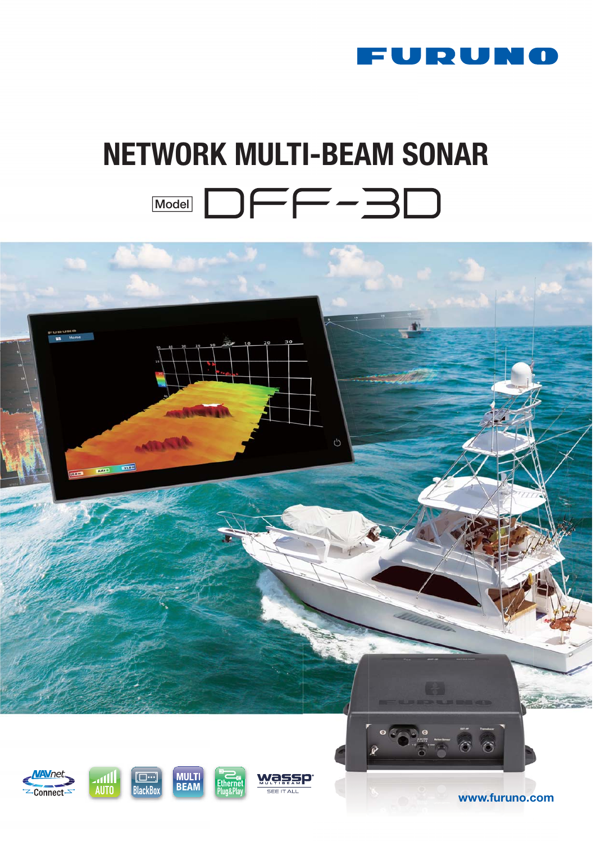

# **NETWORK MULTI-BEAM SONAR Model DFF-30**

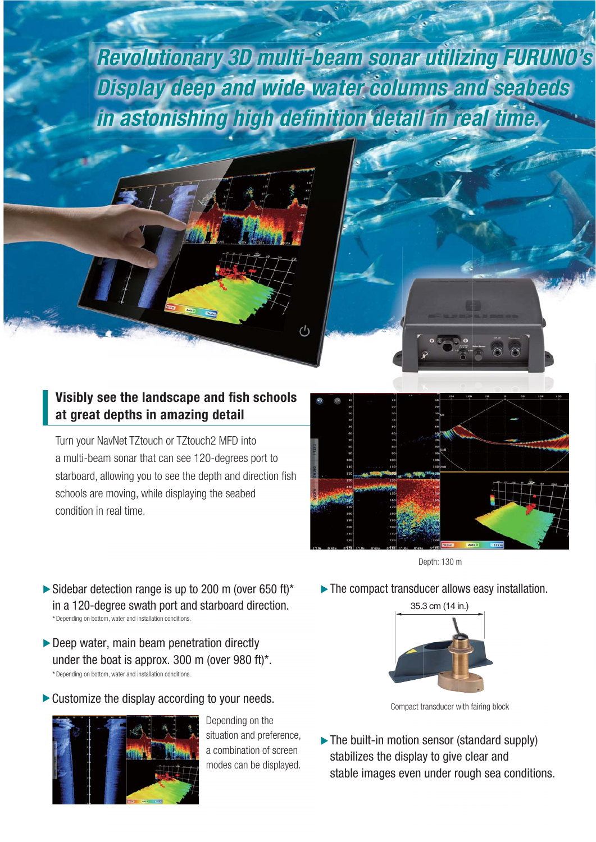*Revolutionary 3D multi-beam sonar utilizing FURUNO's Display deep and wide water columns and seabeds in astonishing high definition detail in real time.*

 $^{\prime}$ 

# **Visibly see the landscape and fish schools at great depths in amazing detail**

Turn your NavNet TZtouch or TZtouch2 MFD into a multi-beam sonar that can see 120-degrees port to starboard, allowing you to see the depth and direction fish schools are moving, while displaying the seabed condition in real time.



Depth: 130 m

▶ The compact transducer allows easy installation.



- $\blacktriangleright$  Deep water, main beam penetration directly under the boat is approx. 300 m (over 980 ft)\*. \* Depending on bottom, water and installation conditions.
- $\triangleright$  Customize the display according to your needs.



Depending on the situation and preference, a combination of screen modes can be displayed.



Compact transducer with fairing block

• The built-in motion sensor (standard supply) stabilizes the display to give clear and stable images even under rough sea conditions.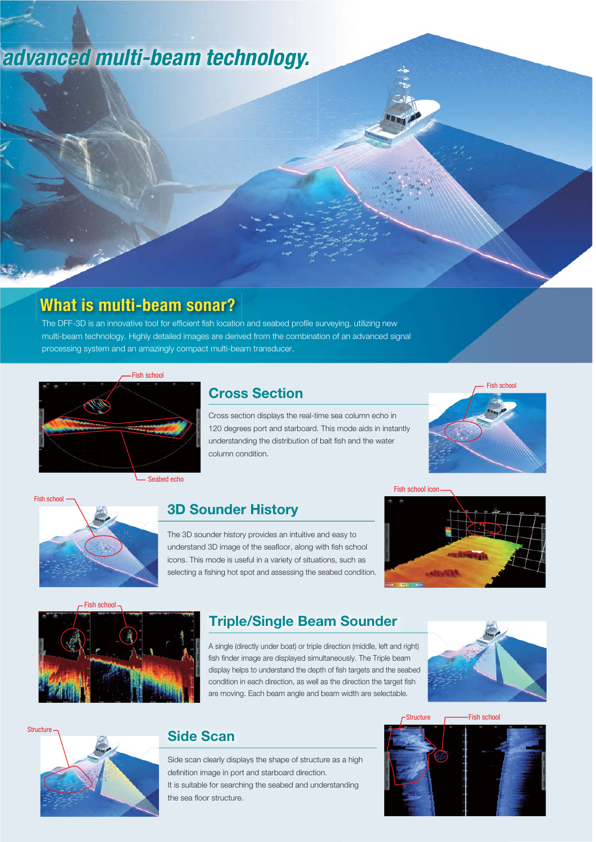# *advanced multi-beam technology.*

# **What is multi-beam sonar?**

The DFF-3D is an innovative tool for efficient fish location and seabed profile surveying, utilizing new multi-beam technology. Highly detailed images are derived from the combination of an advanced signal processing system and an amazingly compact multi-beam transducer.



Seabed echo

# **Cross Section**

Cross section displays the real-time sea column echo in 120 degrees port and starboard. This mode aids in instantly understanding the distribution of bait fish and the water column condition.





### **3D Sounder History**

The 3D sounder history provides an intuitive and easy to understand 3D image of the seafloor, along with fish school icons. This mode is useful in a variety of situations, such as selecting a fishing hot spot and assessing the seabed condition.





# **Triple/Single Beam Sounder**

A single (directly under boat) or triple direction (middle, left and right) fish finder image are displayed simultaneously. The Triple beam display helps to understand the depth of fish targets and the seabed condition in each direction, as well as the direction the target fish are moving. Each beam angle and beam width are selectable.





# **Side Scan**

Side scan clearly displays the shape of structure as a high definition image in port and starboard direction. It is suitable for searching the seabed and understanding the sea floor structure.